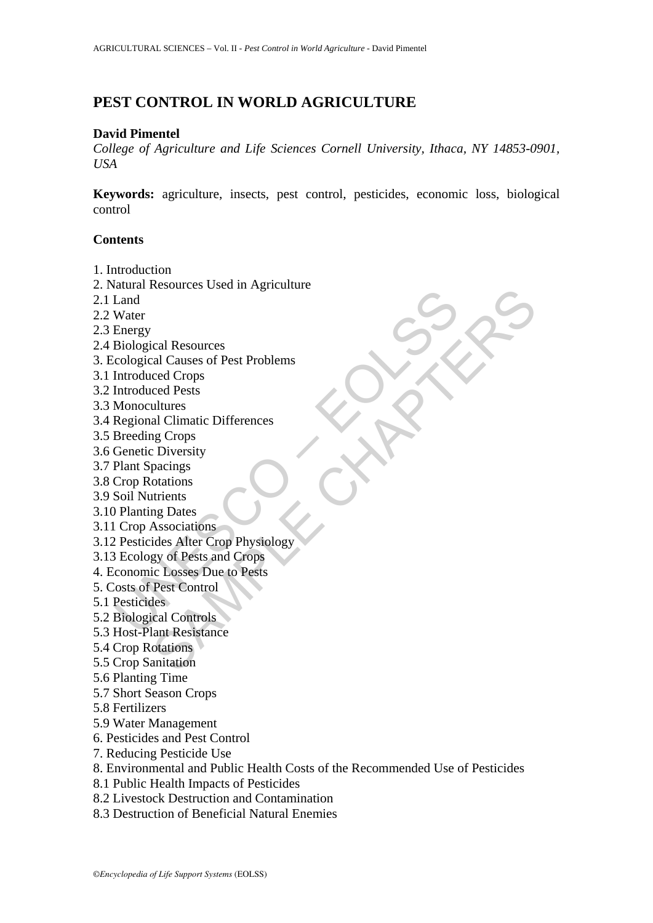# **PEST CONTROL IN WORLD AGRICULTURE**

#### **David Pimentel**

*College of Agriculture and Life Sciences Cornell University, Ithaca, NY 14853-0901, USA*

**Keywords:** agriculture, insects, pest control, pesticides, economic loss, biological control

#### **Contents**

- 1. Introduction
- 2. Natural Resources Used in Agriculture
- 2.1 Land
- 2.2 Water
- 2.3 Energy
- 2.4 Biological Resources
- 3. Ecological Causes of Pest Problems
- 3.1 Introduced Crops
- 3.2 Introduced Pests
- 3.3 Monocultures
- 3.4 Regional Climatic Differences
- 3.5 Breeding Crops
- 3.6 Genetic Diversity
- 3.7 Plant Spacings
- 3.8 Crop Rotations
- 3.9 Soil Nutrients
- 3.10 Planting Dates
- 3.11 Crop Associations
- Mann Resources<br>
Land<br>
Land<br>
Water<br>
Energy<br>
Biological Resources<br>
Introduced Crops<br>
Introduced Pests<br>
Introduced Pests<br>
Monocultures<br>
Regional Climatic Differences<br>
Breeding Crops<br>
Plant Spacings<br>
Plant Spacings<br>
Crop Assoc ical Resources<br>
Sal Clauses of Pest Problems<br>
ced Crops<br>
ced Pests<br>
al Climatic Differences<br>
al Climatic Differences<br>
respectives<br>
discriming<br>
to Diversity<br>
to Diversity<br>
disconsitions<br>
disc Alter Crop Physiology<br>
gy of Pe 3.12 Pesticides Alter Crop Physiology
- 3.13 Ecology of Pests and Crops
- 4. Economic Losses Due to Pests
- 5. Costs of Pest Control
- 5.1 Pesticides
- 5.2 Biological Controls
- 5.3 Host-Plant Resistance
- 5.4 Crop Rotations
- 5.5 Crop Sanitation
- 5.6 Planting Time
- 5.7 Short Season Crops
- 5.8 Fertilizers
- 5.9 Water Management
- 6. Pesticides and Pest Control
- 7. Reducing Pesticide Use
- 8. Environmental and Public Health Costs of the Recommended Use of Pesticides
- 8.1 Public Health Impacts of Pesticides
- 8.2 Livestock Destruction and Contamination
- 8.3 Destruction of Beneficial Natural Enemies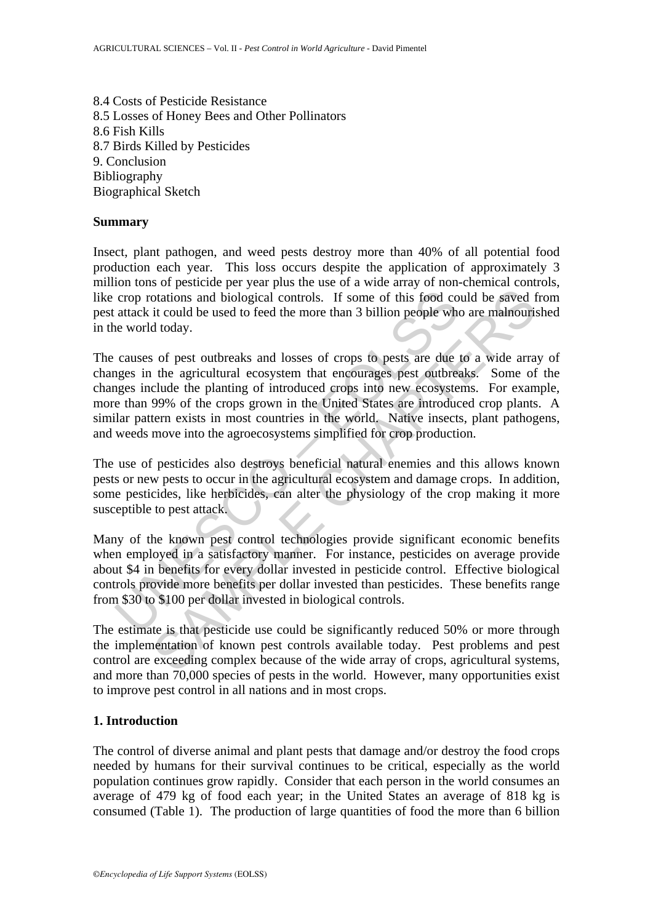8.4 Costs of Pesticide Resistance 8.5 Losses of Honey Bees and Other Pollinators 8.6 Fish Kills 8.7 Birds Killed by Pesticides 9. Conclusion Bibliography Biographical Sketch

#### **Summary**

Insect, plant pathogen, and weed pests destroy more than 40% of all potential food production each year. This loss occurs despite the application of approximately 3 million tons of pesticide per year plus the use of a wide array of non-chemical controls, like crop rotations and biological controls. If some of this food could be saved from pest attack it could be used to feed the more than 3 billion people who are malnourished in the world today.

crop rotations and biological controls. If some of this food co<br>attack it could be used to feed the more than 3 billion people whe<br>world today.<br>causes of pest outbreaks and losses of crops to pests are due<br>gees in the agri ordions and biological controls. If some of this food could be saved it could be used to feed the more than 3 billion people who are malnourist doday.<br>
So for pest outbreaks and losses of crops to pests are due to a wide a The causes of pest outbreaks and losses of crops to pests are due to a wide array of changes in the agricultural ecosystem that encourages pest outbreaks. Some of the changes include the planting of introduced crops into new ecosystems. For example, more than 99% of the crops grown in the United States are introduced crop plants. A similar pattern exists in most countries in the world. Native insects, plant pathogens, and weeds move into the agroecosystems simplified for crop production.

The use of pesticides also destroys beneficial natural enemies and this allows known pests or new pests to occur in the agricultural ecosystem and damage crops. In addition, some pesticides, like herbicides, can alter the physiology of the crop making it more susceptible to pest attack.

Many of the known pest control technologies provide significant economic benefits when employed in a satisfactory manner. For instance, pesticides on average provide about \$4 in benefits for every dollar invested in pesticide control. Effective biological controls provide more benefits per dollar invested than pesticides. These benefits range from \$30 to \$100 per dollar invested in biological controls.

The estimate is that pesticide use could be significantly reduced 50% or more through the implementation of known pest controls available today. Pest problems and pest control are exceeding complex because of the wide array of crops, agricultural systems, and more than 70,000 species of pests in the world. However, many opportunities exist to improve pest control in all nations and in most crops.

# **1. Introduction**

The control of diverse animal and plant pests that damage and/or destroy the food crops needed by humans for their survival continues to be critical, especially as the world population continues grow rapidly. Consider that each person in the world consumes an average of 479 kg of food each year; in the United States an average of 818 kg is consumed (Table 1). The production of large quantities of food the more than 6 billion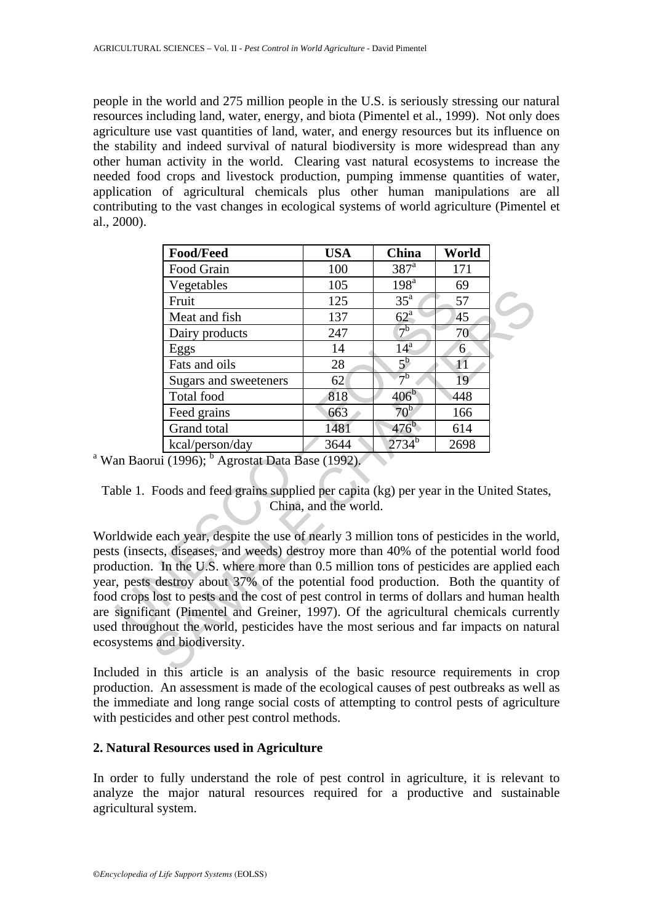people in the world and 275 million people in the U.S. is seriously stressing our natural resources including land, water, energy, and biota (Pimentel et al., 1999). Not only does agriculture use vast quantities of land, water, and energy resources but its influence on the stability and indeed survival of natural biodiversity is more widespread than any other human activity in the world. Clearing vast natural ecosystems to increase the needed food crops and livestock production, pumping immense quantities of water, application of agricultural chemicals plus other human manipulations are all contributing to the vast changes in ecological systems of world agriculture (Pimentel et al., 2000).

|                                                                                                              | <b>Food/Feed</b>                                                                                                                                                                                                                                                                                                                                                                                                                                                                                                                                                                                                                                            | <b>USA</b> | <b>China</b>         | World |  |
|--------------------------------------------------------------------------------------------------------------|-------------------------------------------------------------------------------------------------------------------------------------------------------------------------------------------------------------------------------------------------------------------------------------------------------------------------------------------------------------------------------------------------------------------------------------------------------------------------------------------------------------------------------------------------------------------------------------------------------------------------------------------------------------|------------|----------------------|-------|--|
|                                                                                                              | Food Grain                                                                                                                                                                                                                                                                                                                                                                                                                                                                                                                                                                                                                                                  | 100        | $387$ <sup>a</sup>   | 171   |  |
|                                                                                                              | Vegetables                                                                                                                                                                                                                                                                                                                                                                                                                                                                                                                                                                                                                                                  | 105        | $198^{\overline{a}}$ | 69    |  |
|                                                                                                              | Fruit                                                                                                                                                                                                                                                                                                                                                                                                                                                                                                                                                                                                                                                       | 125        | $35^{\mathrm{a}}$    | 57    |  |
|                                                                                                              | Meat and fish                                                                                                                                                                                                                                                                                                                                                                                                                                                                                                                                                                                                                                               | 137        | $62^{\mathrm{a}}$    | 45    |  |
|                                                                                                              | Dairy products                                                                                                                                                                                                                                                                                                                                                                                                                                                                                                                                                                                                                                              | 247        | 7 <sup>b</sup>       | 70    |  |
|                                                                                                              | Eggs                                                                                                                                                                                                                                                                                                                                                                                                                                                                                                                                                                                                                                                        | 14         | 14 <sup>a</sup>      | 6     |  |
|                                                                                                              | Fats and oils                                                                                                                                                                                                                                                                                                                                                                                                                                                                                                                                                                                                                                               | 28         | $5^{\rm b}$          | 11    |  |
|                                                                                                              | Sugars and sweeteners                                                                                                                                                                                                                                                                                                                                                                                                                                                                                                                                                                                                                                       | 62         | 7 <sup>b</sup>       | 19    |  |
|                                                                                                              | Total food                                                                                                                                                                                                                                                                                                                                                                                                                                                                                                                                                                                                                                                  | 818        | $406^{\overline{b}}$ | 448   |  |
|                                                                                                              | Feed grains                                                                                                                                                                                                                                                                                                                                                                                                                                                                                                                                                                                                                                                 | 663        | 70 <sup>b</sup>      | 166   |  |
|                                                                                                              | Grand total                                                                                                                                                                                                                                                                                                                                                                                                                                                                                                                                                                                                                                                 | 1481       | $476^b$              | 614   |  |
|                                                                                                              | kcal/person/day                                                                                                                                                                                                                                                                                                                                                                                                                                                                                                                                                                                                                                             | 3644       | $2734^{b}$           | 2698  |  |
| <sup>a</sup> Wan Baorui (1996); <sup>b</sup> Agrostat Data Base (1992).                                      |                                                                                                                                                                                                                                                                                                                                                                                                                                                                                                                                                                                                                                                             |            |                      |       |  |
| Table 1. Foods and feed grains supplied per capita (kg) per year in the United Stat<br>China, and the world. |                                                                                                                                                                                                                                                                                                                                                                                                                                                                                                                                                                                                                                                             |            |                      |       |  |
|                                                                                                              | Worldwide each year, despite the use of nearly 3 million tons of pesticides in the wo<br>pests (insects, diseases, and weeds) destroy more than 40% of the potential world f<br>production. In the U.S. where more than 0.5 million tons of pesticides are applied<br>year, pests destroy about 37% of the potential food production. Both the quantit<br>food crops lost to pests and the cost of pest control in terms of dollars and human he<br>are significant (Pimentel and Greiner, 1997). Of the agricultural chemicals curre<br>used throughout the world, pesticides have the most serious and far impacts on nat<br>ecosystems and biodiversity. |            |                      |       |  |
|                                                                                                              | Included in this article is an analysis of the basic resource requirements in                                                                                                                                                                                                                                                                                                                                                                                                                                                                                                                                                                               |            |                      |       |  |

Worldwide each year, despite the use of nearly 3 million tons of pesticides in the world, pests (insects, diseases, and weeds) destroy more than 40% of the potential world food production. In the U.S. where more than 0.5 million tons of pesticides are applied each year, pests destroy about 37% of the potential food production. Both the quantity of food crops lost to pests and the cost of pest control in terms of dollars and human health are significant (Pimentel and Greiner, 1997). Of the agricultural chemicals currently used throughout the world, pesticides have the most serious and far impacts on natural ecosystems and biodiversity.

Included in this article is an analysis of the basic resource requirements in crop production. An assessment is made of the ecological causes of pest outbreaks as well as the immediate and long range social costs of attempting to control pests of agriculture with pesticides and other pest control methods.

# **2. Natural Resources used in Agriculture**

In order to fully understand the role of pest control in agriculture, it is relevant to analyze the major natural resources required for a productive and sustainable agricultural system.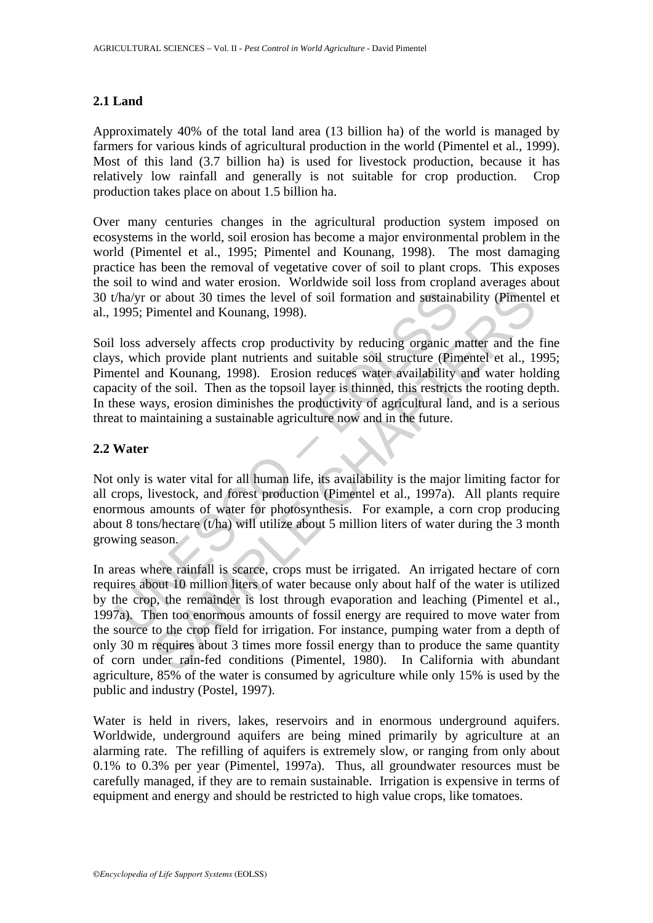# **2.1 Land**

Approximately 40% of the total land area (13 billion ha) of the world is managed by farmers for various kinds of agricultural production in the world (Pimentel et al., 1999). Most of this land (3.7 billion ha) is used for livestock production, because it has relatively low rainfall and generally is not suitable for crop production. Crop production takes place on about 1.5 billion ha.

Over many centuries changes in the agricultural production system imposed on ecosystems in the world, soil erosion has become a major environmental problem in the world (Pimentel et al., 1995; Pimentel and Kounang, 1998). The most damaging practice has been the removal of vegetative cover of soil to plant crops. This exposes the soil to wind and water erosion. Worldwide soil loss from cropland averages about 30 t/ha/yr or about 30 times the level of soil formation and sustainability (Pimentel et al., 1995; Pimentel and Kounang, 1998).

That the sum and sustainable sum and sustainable system and sustaina<br>
1995; Pimentel and Kounang, 1998).<br>
1988 adversely affects crop productivity by reducing organic n<br>
s, which provide plant nutrients and suitable soil Soil loss adversely affects crop productivity by reducing organic matter and the fine clays, which provide plant nutrients and suitable soil structure (Pimentel et al., 1995; Pimentel and Kounang, 1998). Erosion reduces water availability and water holding capacity of the soil. Then as the topsoil layer is thinned, this restricts the rooting depth. In these ways, erosion diminishes the productivity of agricultural land, and is a serious threat to maintaining a sustainable agriculture now and in the future.

# **2.2 Water**

Not only is water vital for all human life, its availability is the major limiting factor for all crops, livestock, and forest production (Pimentel et al., 1997a). All plants require enormous amounts of water for photosynthesis. For example, a corn crop producing about 8 tons/hectare (t/ha) will utilize about 5 million liters of water during the 3 month growing season.

or about 30 times the level of soil formation and sustainability (Piment<br>
imentel and Kounang, 1998).<br>
dversely affects crop productivity by reducing organic matter and the<br>
h provide plant nurrients and suitable soil stru In areas where rainfall is scarce, crops must be irrigated. An irrigated hectare of corn requires about 10 million liters of water because only about half of the water is utilized by the crop, the remainder is lost through evaporation and leaching (Pimentel et al., 1997a). Then too enormous amounts of fossil energy are required to move water from the source to the crop field for irrigation. For instance, pumping water from a depth of only 30 m requires about 3 times more fossil energy than to produce the same quantity of corn under rain-fed conditions (Pimentel, 1980). In California with abundant agriculture, 85% of the water is consumed by agriculture while only 15% is used by the public and industry (Postel, 1997).

Water is held in rivers, lakes, reservoirs and in enormous underground aquifers. Worldwide, underground aquifers are being mined primarily by agriculture at an alarming rate. The refilling of aquifers is extremely slow, or ranging from only about 0.1% to 0.3% per year (Pimentel, 1997a). Thus, all groundwater resources must be carefully managed, if they are to remain sustainable. Irrigation is expensive in terms of equipment and energy and should be restricted to high value crops, like tomatoes.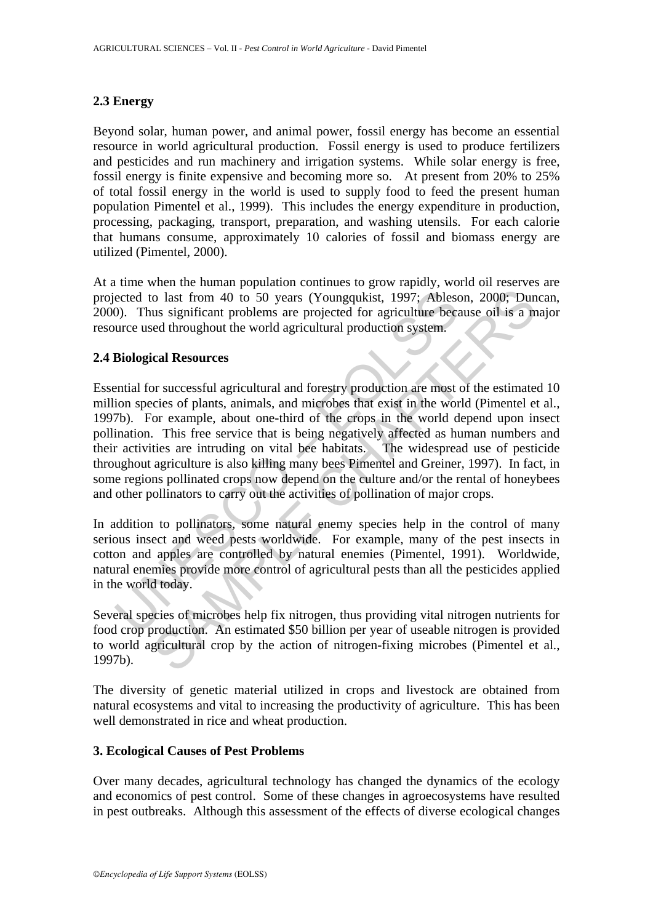# **2.3 Energy**

Beyond solar, human power, and animal power, fossil energy has become an essential resource in world agricultural production. Fossil energy is used to produce fertilizers and pesticides and run machinery and irrigation systems. While solar energy is free, fossil energy is finite expensive and becoming more so. At present from 20% to 25% of total fossil energy in the world is used to supply food to feed the present human population Pimentel et al., 1999). This includes the energy expenditure in production, processing, packaging, transport, preparation, and washing utensils. For each calorie that humans consume, approximately 10 calories of fossil and biomass energy are utilized (Pimentel, 2000).

At a time when the human population continues to grow rapidly, world oil reserves are projected to last from 40 to 50 years (Youngqukist, 1997; Ableson, 2000; Duncan, 2000). Thus significant problems are projected for agriculture because oil is a major resource used throughout the world agricultural production system.

# **2.4 Biological Resources**

ected to last from 40 to 50 years (Youngqukist, 1997; Abless<br>
(0). Thus significant problems are projected for agriculture becaurce used throughout the world agricultural production system.<br> **Biological Resources**<br> **Biolog** o last from 40 to 50 years (Youngqukist, 1997; Ableson, 2000; Dun<br>us significant problems are projected for agriculture because oil is a m<br>eed throughout the world agricultural production system.<br>cal Resources<br>or successfu Essential for successful agricultural and forestry production are most of the estimated 10 million species of plants, animals, and microbes that exist in the world (Pimentel et al., 1997b). For example, about one-third of the crops in the world depend upon insect pollination. This free service that is being negatively affected as human numbers and their activities are intruding on vital bee habitats. The widespread use of pesticide throughout agriculture is also killing many bees Pimentel and Greiner, 1997). In fact, in some regions pollinated crops now depend on the culture and/or the rental of honeybees and other pollinators to carry out the activities of pollination of major crops.

In addition to pollinators, some natural enemy species help in the control of many serious insect and weed pests worldwide. For example, many of the pest insects in cotton and apples are controlled by natural enemies (Pimentel, 1991). Worldwide, natural enemies provide more control of agricultural pests than all the pesticides applied in the world today.

Several species of microbes help fix nitrogen, thus providing vital nitrogen nutrients for food crop production. An estimated \$50 billion per year of useable nitrogen is provided to world agricultural crop by the action of nitrogen-fixing microbes (Pimentel et al., 1997b).

The diversity of genetic material utilized in crops and livestock are obtained from natural ecosystems and vital to increasing the productivity of agriculture. This has been well demonstrated in rice and wheat production.

# **3. Ecological Causes of Pest Problems**

Over many decades, agricultural technology has changed the dynamics of the ecology and economics of pest control. Some of these changes in agroecosystems have resulted in pest outbreaks. Although this assessment of the effects of diverse ecological changes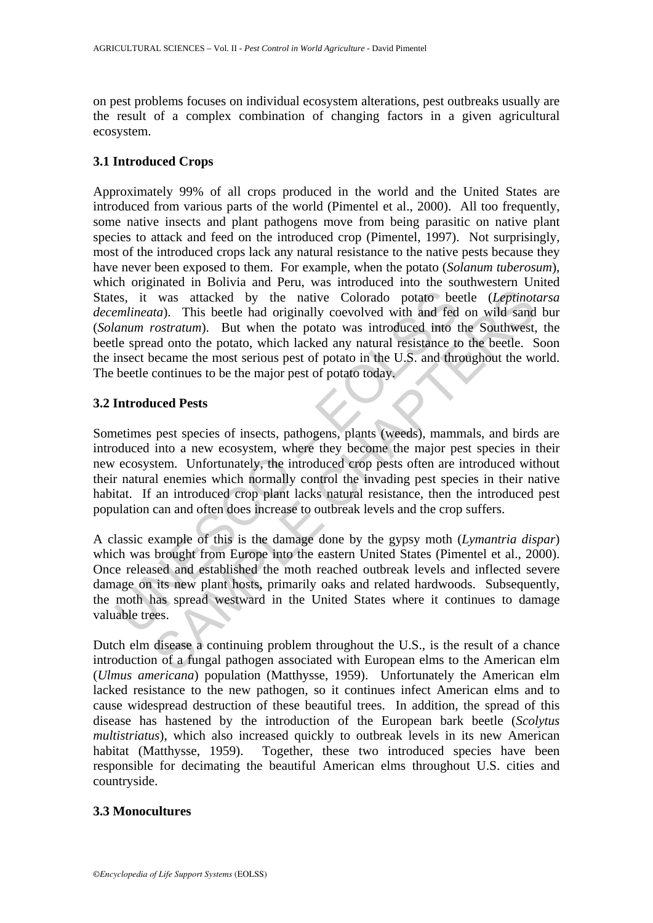on pest problems focuses on individual ecosystem alterations, pest outbreaks usually are the result of a complex combination of changing factors in a given agricultural ecosystem.

# **3.1 Introduced Crops**

es, it was attacked by the native Colorado potato bee*mlineata*). This beetle had originally coevolved with and fed *anum rostratum*). But when the potato was introduced into the spread onto the potato, which lacked any na was attacked by the native Colorado potato beetle (*Leptinotaca*). This beetle had originally coevolved with and fed on wild sand and onto the potato, which hacked any natural resistance into the Southwest, and anoto the Approximately 99% of all crops produced in the world and the United States are introduced from various parts of the world (Pimentel et al., 2000). All too frequently, some native insects and plant pathogens move from being parasitic on native plant species to attack and feed on the introduced crop (Pimentel, 1997). Not surprisingly, most of the introduced crops lack any natural resistance to the native pests because they have never been exposed to them. For example, when the potato (*Solanum tuberosum*), which originated in Bolivia and Peru, was introduced into the southwestern United States, it was attacked by the native Colorado potato beetle (*Leptinotarsa decemlineata*). This beetle had originally coevolved with and fed on wild sand bur (*Solanum rostratum*). But when the potato was introduced into the Southwest, the beetle spread onto the potato, which lacked any natural resistance to the beetle. Soon the insect became the most serious pest of potato in the U.S. and throughout the world. The beetle continues to be the major pest of potato today.

# **3.2 Introduced Pests**

Sometimes pest species of insects, pathogens, plants (weeds), mammals, and birds are introduced into a new ecosystem, where they become the major pest species in their new ecosystem. Unfortunately, the introduced crop pests often are introduced without their natural enemies which normally control the invading pest species in their native habitat. If an introduced crop plant lacks natural resistance, then the introduced pest population can and often does increase to outbreak levels and the crop suffers.

A classic example of this is the damage done by the gypsy moth (*Lymantria dispar*) which was brought from Europe into the eastern United States (Pimentel et al., 2000). Once released and established the moth reached outbreak levels and inflected severe damage on its new plant hosts, primarily oaks and related hardwoods. Subsequently, the moth has spread westward in the United States where it continues to damage valuable trees.

Dutch elm disease a continuing problem throughout the U.S., is the result of a chance introduction of a fungal pathogen associated with European elms to the American elm (*Ulmus americana*) population (Matthysse, 1959). Unfortunately the American elm lacked resistance to the new pathogen, so it continues infect American elms and to cause widespread destruction of these beautiful trees. In addition, the spread of this disease has hastened by the introduction of the European bark beetle (*Scolytus multistriatus*), which also increased quickly to outbreak levels in its new American habitat (Matthysse, 1959). Together, these two introduced species have been responsible for decimating the beautiful American elms throughout U.S. cities and countryside.

# **3.3 Monocultures**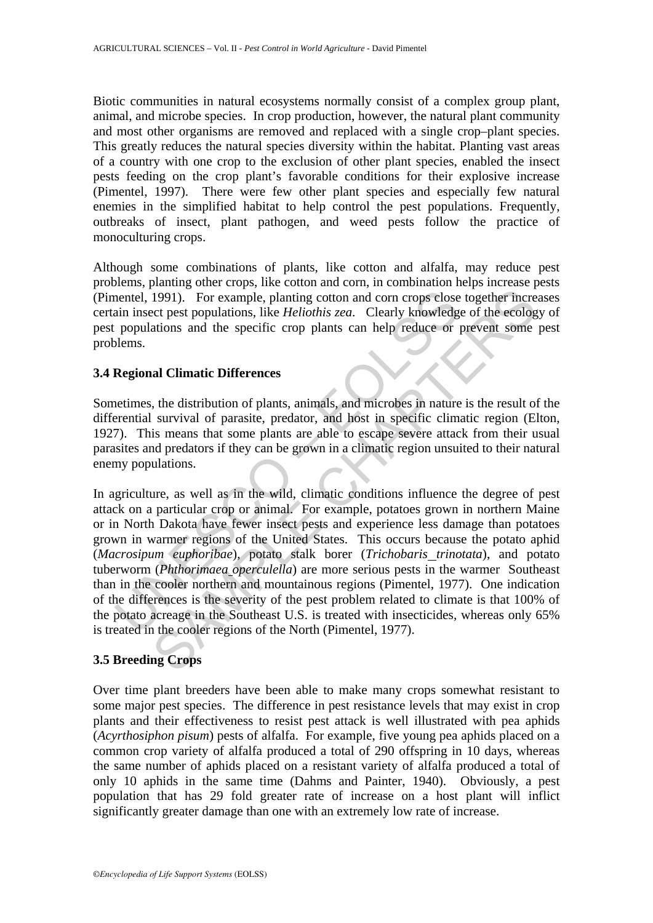Biotic communities in natural ecosystems normally consist of a complex group plant, animal, and microbe species. In crop production, however, the natural plant community and most other organisms are removed and replaced with a single crop–plant species. This greatly reduces the natural species diversity within the habitat. Planting vast areas of a country with one crop to the exclusion of other plant species, enabled the insect pests feeding on the crop plant's favorable conditions for their explosive increase (Pimentel, 1997). There were few other plant species and especially few natural enemies in the simplified habitat to help control the pest populations. Frequently, outbreaks of insect, plant pathogen, and weed pests follow the practice of monoculturing crops.

Although some combinations of plants, like cotton and alfalfa, may reduce pest problems, planting other crops, like cotton and corn, in combination helps increase pests (Pimentel, 1991). For example, planting cotton and corn crops close together increases certain insect pest populations, like *Heliothis zea*. Clearly knowledge of the ecology of pest populations and the specific crop plants can help reduce or prevent some pest problems.

# **3.4 Regional Climatic Differences**

Sometimes, the distribution of plants, animals, and microbes in nature is the result of the differential survival of parasite, predator, and host in specific climatic region (Elton, 1927). This means that some plants are able to escape severe attack from their usual parasites and predators if they can be grown in a climatic region unsuited to their natural enemy populations.

mentel, 1991). For example, planting cotton and corn crops elose<br>ain insect pest populations, like *Heliothis zea*. Clearly knowledg<br>populations and the specific crop plants can help reduce or<br>lems.<br>**Regional Climatic Diff** 1991). For example, planting coton and com crops close together increase the propulations, like *Heliothis zea*. Clearly knowledge of the ecologetions and the specific crop plants can help reduce or prevent some all **Clim** In agriculture, as well as in the wild, climatic conditions influence the degree of pest attack on a particular crop or animal. For example, potatoes grown in northern Maine or in North Dakota have fewer insect pests and experience less damage than potatoes grown in warmer regions of the United States. This occurs because the potato aphid (*Macrosipum euphoribae*), potato stalk borer (*Trichobaris trinotata*), and potato tuberworm (*Phthorimaea operculella*) are more serious pests in the warmer Southeast than in the cooler northern and mountainous regions (Pimentel, 1977). One indication of the differences is the severity of the pest problem related to climate is that 100% of the potato acreage in the Southeast U.S. is treated with insecticides, whereas only 65% is treated in the cooler regions of the North (Pimentel, 1977).

# **3.5 Breeding Crops**

Over time plant breeders have been able to make many crops somewhat resistant to some major pest species. The difference in pest resistance levels that may exist in crop plants and their effectiveness to resist pest attack is well illustrated with pea aphids (*Acyrthosiphon pisum*) pests of alfalfa. For example, five young pea aphids placed on a common crop variety of alfalfa produced a total of 290 offspring in 10 days, whereas the same number of aphids placed on a resistant variety of alfalfa produced a total of only 10 aphids in the same time (Dahms and Painter, 1940). Obviously, a pest population that has 29 fold greater rate of increase on a host plant will inflict significantly greater damage than one with an extremely low rate of increase.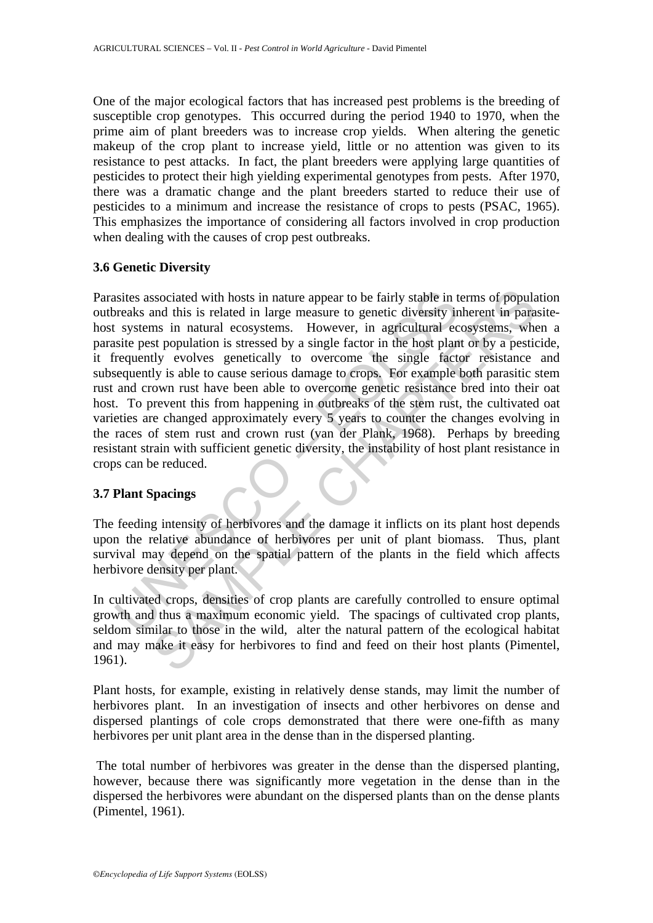One of the major ecological factors that has increased pest problems is the breeding of susceptible crop genotypes. This occurred during the period 1940 to 1970, when the prime aim of plant breeders was to increase crop yields. When altering the genetic makeup of the crop plant to increase yield, little or no attention was given to its resistance to pest attacks. In fact, the plant breeders were applying large quantities of pesticides to protect their high yielding experimental genotypes from pests. After 1970, there was a dramatic change and the plant breeders started to reduce their use of pesticides to a minimum and increase the resistance of crops to pests (PSAC, 1965). This emphasizes the importance of considering all factors involved in crop production when dealing with the causes of crop pest outbreaks.

# **3.6 Genetic Diversity**

islies associated with hosts in nature appear to be fairly stable in the preaks and this is related in large measure to genetic diversity ir systems in natural ecosystems. However, in agricultural ecsite pest population is sociated with hosts in nature appear to be fairly stable in terms of popula<br>and this is related in large measure to genetic diversity inherent in para<br>ms in natural ecosystems. However, in agricultural cocystems, who<br>st re Parasites associated with hosts in nature appear to be fairly stable in terms of population outbreaks and this is related in large measure to genetic diversity inherent in parasitehost systems in natural ecosystems. However, in agricultural ecosystems, when a parasite pest population is stressed by a single factor in the host plant or by a pesticide, it frequently evolves genetically to overcome the single factor resistance and subsequently is able to cause serious damage to crops. For example both parasitic stem rust and crown rust have been able to overcome genetic resistance bred into their oat host. To prevent this from happening in outbreaks of the stem rust, the cultivated oat varieties are changed approximately every 5 years to counter the changes evolving in the races of stem rust and crown rust (van der Plank, 1968). Perhaps by breeding resistant strain with sufficient genetic diversity, the instability of host plant resistance in crops can be reduced.

# **3.7 Plant Spacings**

The feeding intensity of herbivores and the damage it inflicts on its plant host depends upon the relative abundance of herbivores per unit of plant biomass. Thus, plant survival may depend on the spatial pattern of the plants in the field which affects herbivore density per plant.

In cultivated crops, densities of crop plants are carefully controlled to ensure optimal growth and thus a maximum economic yield. The spacings of cultivated crop plants, seldom similar to those in the wild, alter the natural pattern of the ecological habitat and may make it easy for herbivores to find and feed on their host plants (Pimentel, 1961).

Plant hosts, for example, existing in relatively dense stands, may limit the number of herbivores plant. In an investigation of insects and other herbivores on dense and dispersed plantings of cole crops demonstrated that there were one-fifth as many herbivores per unit plant area in the dense than in the dispersed planting.

 The total number of herbivores was greater in the dense than the dispersed planting, however, because there was significantly more vegetation in the dense than in the dispersed the herbivores were abundant on the dispersed plants than on the dense plants (Pimentel, 1961).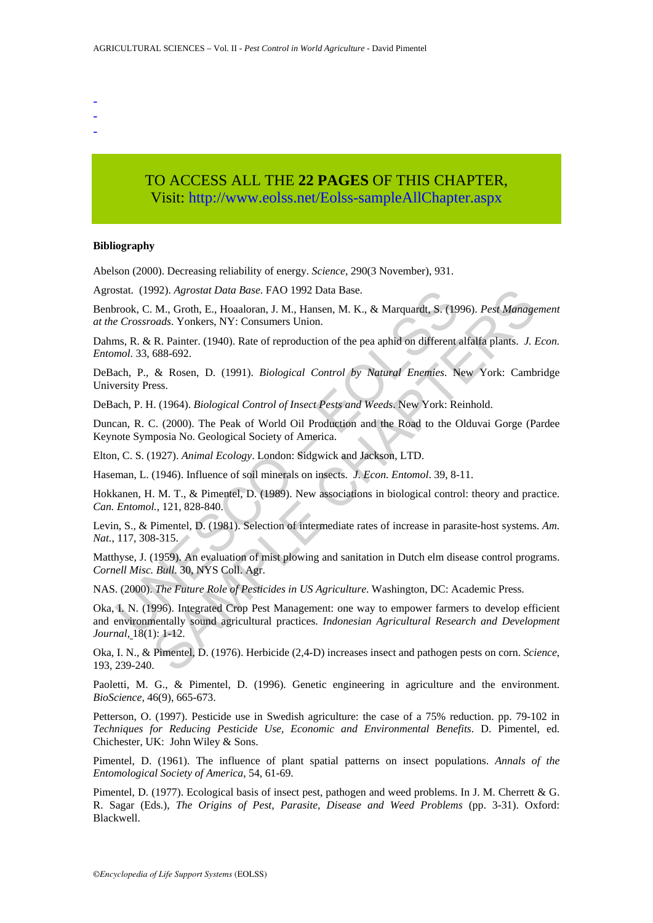- -
- -
- -

# TO ACCESS ALL THE **22 PAGES** OF THIS CHAPTER, Visit[: http://www.eolss.net/Eolss-sampleAllChapter.aspx](https://www.eolss.net/ebooklib/sc_cart.aspx?File=E5-24-10-00)

#### **Bibliography**

Abelson (2000). Decreasing reliability of energy. *Science*, 290(3 November), 931.

Agrostat. (1992). *Agrostat Data Base*. FAO 1992 Data Base.

Benbrook, C. M., Groth, E., Hoaaloran, J. M., Hansen, M. K., & Marquardt, S. (1996). *Pest Management at the Crossroads*. Yonkers, NY: Consumers Union.

Dahms, R. & R. Painter. (1940). Rate of reproduction of the pea aphid on different alfalfa plants. *J. Econ. Entomol*. 33, 688-692.

DeBach, P., & Rosen, D. (1991). *Biological Control by Natural Enemies*. New York: Cambridge University Press.

DeBach, P. H. (1964). *Biological Control of Insect Pests and Weeds*. New York: Reinhold.

Duncan, R. C. (2000). The Peak of World Oil Production and the Road to the Olduvai Gorge (Pardee Keynote Symposia No. Geological Society of America.

Elton, C. S. (1927). *Animal Ecology*. London: Sidgwick and Jackson, LTD.

Haseman, L. (1946). Influence of soil minerals on insects. *J. Econ. Entomol*. 39, 8-11.

Hokkanen, H. M. T., & Pimentel, D. (1989). New associations in biological control: theory and practice. *Can. Entomol.*, 121, 828-840.

Levin, S., & Pimentel, D. (1981). Selection of intermediate rates of increase in parasite-host systems. *Am. Nat.*, 117, 308-315.

Matthyse, J. (1959). An evaluation of mist plowing and sanitation in Dutch elm disease control programs. *Cornell Misc. Bull*. 30, NYS Coll. Agr.

NAS. (2000). *The Future Role of Pesticides in US Agriculture*. Washington, DC: Academic Press.

Stat. (1992). Agrostat Data Base. FAO 1992 Data Base.<br>
Forock, C. M., Groth, E., Hoaaloran, J. M., Hansen, M. K., & Marquardt, S. (19<br>
Crossroads. Yonkers, NY: Consumers Union.<br>
Ims. R. & R. Painter. (1940). Rate of reprod 992). Agrostat Data Base. FAO 1992 Data Base.<br>
M. Grob, P. Hoaloran, J. M., Hansen, M. K., & Marquardt, S. (1996). Pest Manage<br>
and S. Yonkers, NY: Consumers Union.<br>
R. Painter. (1940). Rate of reproduction of the pea aphi Oka, I. N. (1996). Integrated Crop Pest Management: one way to empower farmers to develop efficient and environmentally sound agricultural practices. *Indonesian Agricultural Research and Development Journal*, 18(1): 1-12.

Oka, I. N., & Pimentel, D. (1976). Herbicide (2,4-D) increases insect and pathogen pests on corn. *Science*, 193, 239-240.

Paoletti, M. G., & Pimentel, D. (1996). Genetic engineering in agriculture and the environment. *BioScience*, 46(9), 665-673.

Petterson, O. (1997). Pesticide use in Swedish agriculture: the case of a 75% reduction. pp. 79-102 in *Techniques for Reducing Pesticide Use, Economic and Environmental Benefits*. D. Pimentel, ed. Chichester, UK: John Wiley & Sons.

Pimentel, D. (1961). The influence of plant spatial patterns on insect populations. *Annals of the Entomological Society of America*, 54, 61-69.

Pimentel, D. (1977). Ecological basis of insect pest, pathogen and weed problems. In J. M. Cherrett & G. R. Sagar (Eds.), *The Origins of Pest, Parasite, Disease and Weed Problems* (pp. 3-31). Oxford: Blackwell.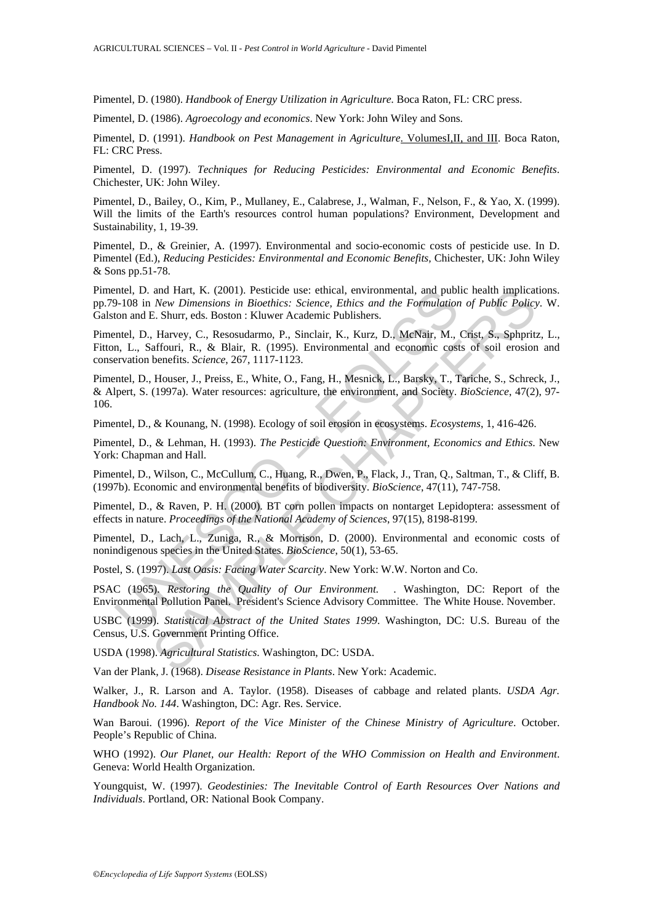Pimentel, D. (1980). *Handbook of Energy Utilization in Agriculture.* Boca Raton, FL: CRC press.

Pimentel, D. (1986). *Agroecology and economics*. New York: John Wiley and Sons.

Pimentel, D. (1991). *Handbook on Pest Management in Agriculture*. VolumesI, II, and III. Boca Raton, FL: CRC Press.

Pimentel, D. (1997). *Techniques for Reducing Pesticides: Environmental and Economic Benefits*. Chichester, UK: John Wiley.

Pimentel, D., Bailey, O., Kim, P., Mullaney, E., Calabrese, J., Walman, F., Nelson, F., & Yao, X. (1999). Will the limits of the Earth's resources control human populations? Environment, Development and Sustainability, 1, 19-39.

Pimentel, D., & Greinier, A. (1997). Environmental and socio-economic costs of pesticide use. In D. Pimentel (Ed.), *Reducing Pesticides: Environmental and Economic Benefits,* Chichester, UK: John Wiley & Sons pp.51-78.

Pimentel, D. and Hart, K. (2001). Pesticide use: ethical, environmental, and public health implications. pp.79-108 in *New Dimensions in Bioethics: Science, Ethics and the Formulation of Public Policy*. W. Galston and E. Shurr, eds. Boston : Kluwer Academic Publishers.

Pimentel, D., Harvey, C., Resosudarmo, P., Sinclair, K., Kurz, D., McNair, M., Crist, S., Sphpritz, L., Fitton, L., Saffouri, R., & Blair, R. (1995). Environmental and economic costs of soil erosion and conservation benefits. *Science*, 267, 1117-1123.

metel, D., and Hart, K. (2001). Pesticide use: ethical, environmental, and publical, D., and Hart, K. (2001). Pesticide use: ethics and the Formulation bolon and E. Shurr, eds. Boston : Kluwer Academic Publishers.<br>
Inc., D and Hart, K. (2001). Pesticide use: ethical, environmental, and public health implication<br> *New Dimensions in Bioehitics: Science, Ethics and the Formulation of Public Policy<br>
E. Shurr, eds. Boston : Kluwer Academic Publi* Pimentel, D., Houser, J., Preiss, E., White, O., Fang, H., Mesnick, L., Barsky, T., Tariche, S., Schreck, J., & Alpert, S. (1997a). Water resources: agriculture, the environment, and Society. *BioScience*, 47(2), 97- 106.

Pimentel, D., & Kounang, N. (1998). Ecology of soil erosion in ecosystems. *Ecosystems*, 1, 416-426.

Pimentel, D., & Lehman, H. (1993). *The Pesticide Question: Environment, Economics and Ethics*. New York: Chapman and Hall.

Pimentel, D., Wilson, C., McCullum, C., Huang, R., Dwen, P., Flack, J., Tran, Q., Saltman, T., & Cliff, B. (1997b). Economic and environmental benefits of biodiversity. *BioScience*, 47(11), 747-758.

Pimentel, D., & Raven, P. H. (2000). BT corn pollen impacts on nontarget Lepidoptera: assessment of effects in nature. *Proceedings of the National Academy of Sciences*, 97(15), 8198-8199.

Pimentel, D., Lach, L., Zuniga, R., & Morrison, D. (2000). Environmental and economic costs of nonindigenous species in the United States. *BioScience*, 50(1), 53-65.

Postel, S. (1997). *Last Oasis: Facing Water Scarcity*. New York: W.W. Norton and Co.

PSAC (1965). *Restoring the Quality of Our Environment.* . Washington, DC: Report of the Environmental Pollution Panel. President's Science Advisory Committee. The White House. November.

USBC (1999). *Statistical Abstract of the United States 1999*. Washington, DC: U.S. Bureau of the Census, U.S. Government Printing Office.

USDA (1998). *Agricultural Statistics*. Washington, DC: USDA.

Van der Plank, J. (1968). *Disease Resistance in Plants*. New York: Academic.

Walker, J., R. Larson and A. Taylor. (1958). Diseases of cabbage and related plants. *USDA Agr. Handbook No. 144*. Washington, DC: Agr. Res. Service.

Wan Baroui. (1996). *Report of the Vice Minister of the Chinese Ministry of Agriculture*. October. People's Republic of China.

WHO (1992). *Our Planet, our Health: Report of the WHO Commission on Health and Environment*. Geneva: World Health Organization.

Youngquist, W. (1997). *Geodestinies: The Inevitable Control of Earth Resources Over Nations and Individuals*. Portland, OR: National Book Company.